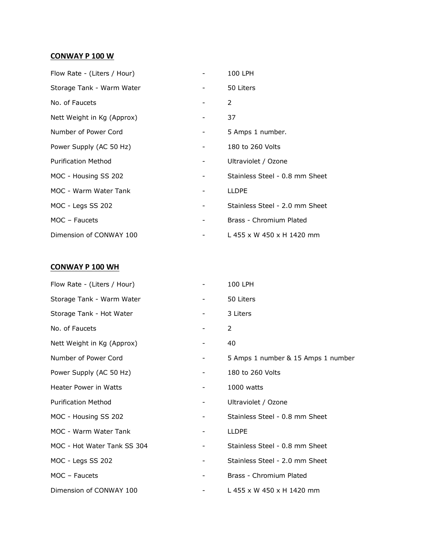## **CONWAY P 100 W**

| Flow Rate - (Liters / Hour) |                          | 100 LPH                        |
|-----------------------------|--------------------------|--------------------------------|
| Storage Tank - Warm Water   | $\overline{\phantom{a}}$ | 50 Liters                      |
| No. of Faucets              |                          | $\mathcal{P}$                  |
| Nett Weight in Kg (Approx)  |                          | 37                             |
| Number of Power Cord        | Ξ.                       | 5 Amps 1 number.               |
| Power Supply (AC 50 Hz)     |                          | 180 to 260 Volts               |
| <b>Purification Method</b>  | -                        | Ultraviolet / Ozone            |
| MOC - Housing SS 202        |                          | Stainless Steel - 0.8 mm Sheet |
| MOC - Warm Water Tank       |                          | <b>LLDPE</b>                   |
| MOC - Legs SS 202           | -                        | Stainless Steel - 2.0 mm Sheet |
| MOC - Faucets               |                          | Brass - Chromium Plated        |
| Dimension of CONWAY 100     |                          | L 455 x W 450 x H 1420 mm      |

## **CONWAY P 100 WH**

| Flow Rate - (Liters / Hour)  |                          | 100 LPH                            |
|------------------------------|--------------------------|------------------------------------|
| Storage Tank - Warm Water    | $\overline{\phantom{a}}$ | 50 Liters                          |
| Storage Tank - Hot Water     | $\overline{\phantom{a}}$ | 3 Liters                           |
| No. of Faucets               |                          | 2                                  |
| Nett Weight in Kg (Approx)   | $\overline{\phantom{a}}$ | 40                                 |
| Number of Power Cord         | -                        | 5 Amps 1 number & 15 Amps 1 number |
| Power Supply (AC 50 Hz)      | -                        | 180 to 260 Volts                   |
| <b>Heater Power in Watts</b> |                          | 1000 watts                         |
| <b>Purification Method</b>   | н.                       | Ultraviolet / Ozone                |
| MOC - Housing SS 202         | $\overline{\phantom{a}}$ | Stainless Steel - 0.8 mm Sheet     |
| MOC - Warm Water Tank        | -                        | <b>LLDPE</b>                       |
| MOC - Hot Water Tank SS 304  |                          | Stainless Steel - 0.8 mm Sheet     |
| MOC - Legs SS 202            |                          | Stainless Steel - 2.0 mm Sheet     |
| $MOC - Faucets$              | $\overline{\phantom{a}}$ | Brass - Chromium Plated            |
| Dimension of CONWAY 100      |                          | L 455 x W 450 x H 1420 mm          |